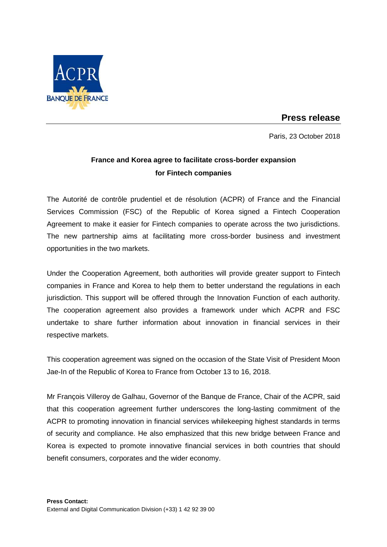

## **Press release**

Paris, 23 October 2018

## **France and Korea agree to facilitate cross-border expansion for Fintech companies**

The Autorité de contrôle prudentiel et de résolution (ACPR) of France and the Financial Services Commission (FSC) of the Republic of Korea signed a Fintech Cooperation Agreement to make it easier for Fintech companies to operate across the two jurisdictions. The new partnership aims at facilitating more cross-border business and investment opportunities in the two markets.

Under the Cooperation Agreement, both authorities will provide greater support to Fintech companies in France and Korea to help them to better understand the regulations in each jurisdiction. This support will be offered through the Innovation Function of each authority. The cooperation agreement also provides a framework under which ACPR and FSC undertake to share further information about innovation in financial services in their respective markets.

This cooperation agreement was signed on the occasion of the State Visit of President Moon Jae-In of the Republic of Korea to France from October 13 to 16, 2018.

Mr François Villeroy de Galhau, Governor of the Banque de France, Chair of the ACPR, said that this cooperation agreement further underscores the long-lasting commitment of the ACPR to promoting innovation in financial services whilekeeping highest standards in terms of security and compliance. He also emphasized that this new bridge between France and Korea is expected to promote innovative financial services in both countries that should benefit consumers, corporates and the wider economy.